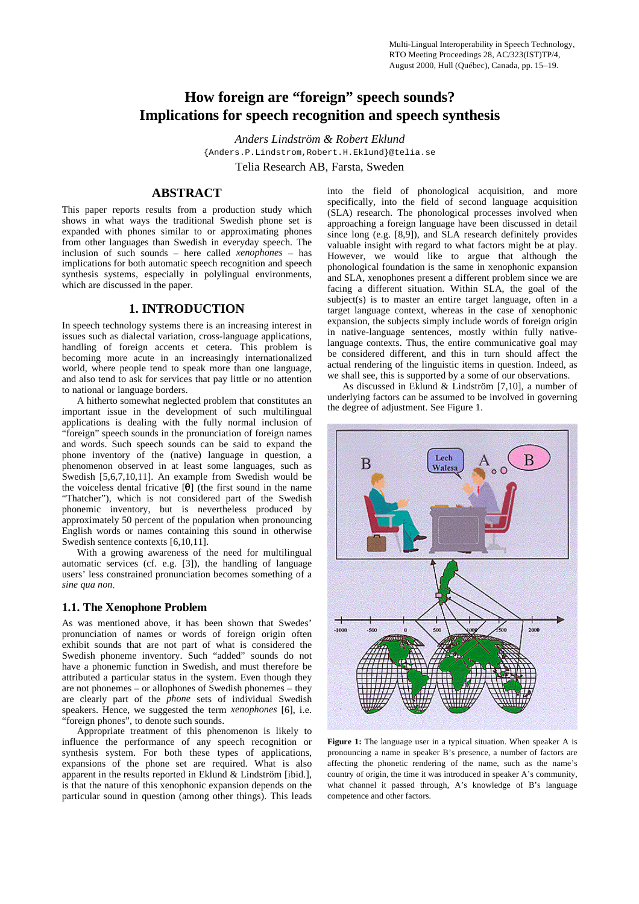# **How foreign are "foreign" speech sounds? Implications for speech recognition and speech synthesis**

*Anders Lindström & Robert Eklund* {Anders.P.Lindstrom,Robert.H.Eklund}@telia.se Telia Research AB, Farsta, Sweden

# **ABSTRACT**

This paper reports results from a production study which shows in what ways the traditional Swedish phone set is expanded with phones similar to or approximating phones from other languages than Swedish in everyday speech. The inclusion of such sounds – here called *xenophones* – has implications for both automatic speech recognition and speech synthesis systems, especially in polylingual environments, which are discussed in the paper.

# **1. INTRODUCTION**

In speech technology systems there is an increasing interest in issues such as dialectal variation, cross-language applications, handling of foreign accents et cetera. This problem is becoming more acute in an increasingly internationalized world, where people tend to speak more than one language, and also tend to ask for services that pay little or no attention to national or language borders.

A hitherto somewhat neglected problem that constitutes an important issue in the development of such multilingual applications is dealing with the fully normal inclusion of "foreign" speech sounds in the pronunciation of foreign names and words. Such speech sounds can be said to expand the phone inventory of the (native) language in question, a phenomenon observed in at least some languages, such as Swedish [5,6,7,10,11]. An example from Swedish would be the voiceless dental fricative [ $\theta$ ] (the first sound in the name "Thatcher"), which is not considered part of the Swedish phonemic inventory, but is nevertheless produced by approximately 50 percent of the population when pronouncing English words or names containing this sound in otherwise Swedish sentence contexts [6,10,11].

With a growing awareness of the need for multilingual automatic services (cf. e.g. [3]), the handling of language users' less constrained pronunciation becomes something of a *sine qua non*.

# **1.1. The Xenophone Problem**

As was mentioned above, it has been shown that Swedes' pronunciation of names or words of foreign origin often exhibit sounds that are not part of what is considered the Swedish phoneme inventory. Such "added" sounds do not have a phonemic function in Swedish, and must therefore be attributed a particular status in the system. Even though they are not phonemes – or allophones of Swedish phonemes – they are clearly part of the *phone* sets of individual Swedish speakers. Hence, we suggested the term *xenophones* [6], i.e. "foreign phones", to denote such sounds.

Appropriate treatment of this phenomenon is likely to influence the performance of any speech recognition or synthesis system. For both these types of applications, expansions of the phone set are required. What is also apparent in the results reported in Eklund & Lindström [ibid.]. is that the nature of this xenophonic expansion depends on the particular sound in question (among other things). This leads

into the field of phonological acquisition, and more specifically, into the field of second language acquisition (SLA) research. The phonological processes involved when approaching a foreign language have been discussed in detail since long (e.g. [8,9]), and SLA research definitely provides valuable insight with regard to what factors might be at play. However, we would like to argue that although the phonological foundation is the same in xenophonic expansion and SLA, xenophones present a different problem since we are facing a different situation. Within SLA, the goal of the subject(s) is to master an entire target language, often in a target language context, whereas in the case of xenophonic expansion, the subjects simply include words of foreign origin in native-language sentences, mostly within fully nativelanguage contexts. Thus, the entire communicative goal may be considered different, and this in turn should affect the actual rendering of the linguistic items in question. Indeed, as we shall see, this is supported by a some of our observations.

As discussed in Eklund & Lindström [7,10], a number of underlying factors can be assumed to be involved in governing the degree of adjustment. See Figure 1.



**Figure 1:** The language user in a typical situation. When speaker A is pronouncing a name in speaker B's presence, a number of factors are affecting the phonetic rendering of the name, such as the name's country of origin, the time it was introduced in speaker A's community, what channel it passed through, A's knowledge of B's language competence and other factors.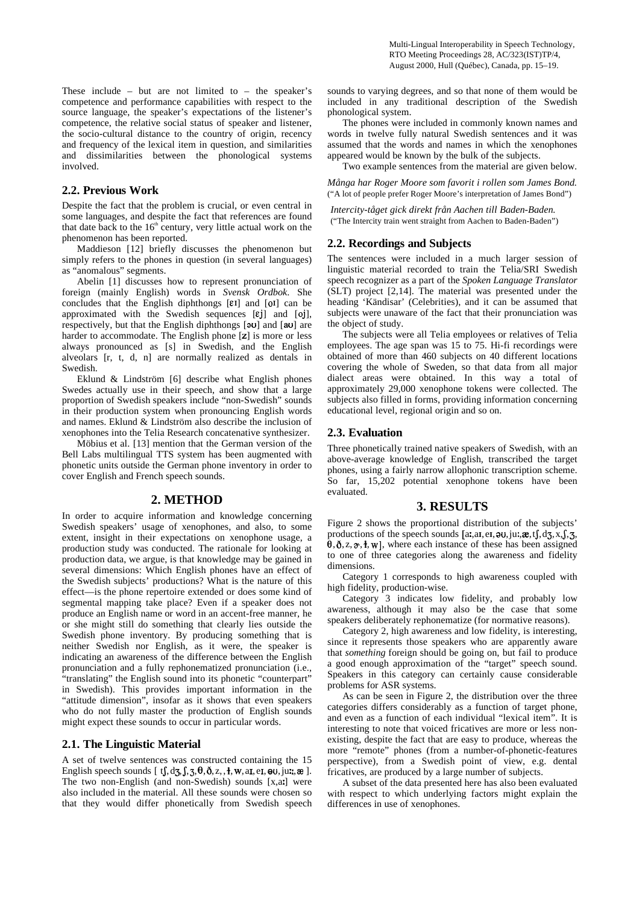Multi-Lingual Interoperability in Speech Technology, RTO Meeting Proceedings 28, AC/323(IST)TP/4, August 2000, Hull (Québec), Canada, pp. 15–19.

These include – but are not limited to – the speaker's competence and performance capabilities with respect to the source language, the speaker's expectations of the listener's competence, the relative social status of speaker and listener, the socio-cultural distance to the country of origin, recency and frequency of the lexical item in question, and similarities and dissimilarities between the phonological systems involved.

#### **2.2. Previous Work**

Despite the fact that the problem is crucial, or even central in some languages, and despite the fact that references are found that date back to the  $16<sup>th</sup>$  century, very little actual work on the phenomenon has been reported.

Maddieson [12] briefly discusses the phenomenon but simply refers to the phones in question (in several languages) as "anomalous" segments.

Abelin [1] discusses how to represent pronunciation of foreign (mainly English) words in *Svensk Ordbok*. She concludes that the English diphthongs  $[\epsilon \tau]$  and  $[0 \tau]$  can be approximated with the Swedish sequences  $[\epsilon j]$  and  $[oj]$ , respectively, but that the English diphthongs  $[3\upsilon]$  and  $[3\upsilon]$  are harder to accommodate. The English phone  $[z]$  is more or less always pronounced as [s] in Swedish, and the English alveolars [r, t, d, n] are normally realized as dentals in Swedish.

Eklund & Lindström [6] describe what English phones Swedes actually use in their speech, and show that a large proportion of Swedish speakers include "non-Swedish" sounds in their production system when pronouncing English words and names. Eklund & Lindström also describe the inclusion of xenophones into the Telia Research concatenative synthesizer.

Möbius et al. [13] mention that the German version of the Bell Labs multilingual TTS system has been augmented with phonetic units outside the German phone inventory in order to cover English and French speech sounds.

#### **2. METHOD**

In order to acquire information and knowledge concerning Swedish speakers' usage of xenophones, and also, to some extent, insight in their expectations on xenophone usage, a production study was conducted. The rationale for looking at production data, we argue, is that knowledge may be gained in several dimensions: Which English phones have an effect of the Swedish subjects' productions? What is the nature of this effect—is the phone repertoire extended or does some kind of segmental mapping take place? Even if a speaker does not produce an English name or word in an accent-free manner, he or she might still do something that clearly lies outside the Swedish phone inventory. By producing something that is neither Swedish nor English, as it were, the speaker is indicating an awareness of the difference between the English pronunciation and a fully rephonematized pronunciation (i.e., "translating" the English sound into its phonetic "counterpart" in Swedish). This provides important information in the "attitude dimension", insofar as it shows that even speakers who do not fully master the production of English sounds might expect these sounds to occur in particular words.

### **2.1. The Linguistic Material**

A set of twelve sentences was constructed containing the 15 English speech sounds [  $tf, dg, f, \overline{3}, \theta, \delta, z, \overline{1}, w, \overline{a1}, \overline{e1}, \Theta0, j\overline{u}u, \overline{a}d$  ]. The two non-English (and non-Swedish) sounds  $[x, a]$  were also included in the material. All these sounds were chosen so that they would differ phonetically from Swedish speech

sounds to varying degrees, and so that none of them would be included in any traditional description of the Swedish phonological system.

The phones were included in commonly known names and words in twelve fully natural Swedish sentences and it was assumed that the words and names in which the xenophones appeared would be known by the bulk of the subjects.

Two example sentences from the material are given below. *Många har Roger Moore som favorit i rollen som James Bond.*

("A lot of people prefer Roger Moore's interpretation of James Bond")

*Intercity-tåget gick direkt från Aachen till Baden-Baden.* ("The Intercity train went straight from Aachen to Baden-Baden")

### **2.2. Recordings and Subjects**

The sentences were included in a much larger session of linguistic material recorded to train the Telia/SRI Swedish speech recognizer as a part of the *Spoken Language Translator* (SLT) project [2,14]. The material was presented under the heading 'Kändisar' (Celebrities), and it can be assumed that subjects were unaware of the fact that their pronunciation was the object of study.

The subjects were all Telia employees or relatives of Telia employees. The age span was 15 to 75. Hi-fi recordings were obtained of more than 460 subjects on 40 different locations covering the whole of Sweden, so that data from all major dialect areas were obtained. In this way a total of approximately 29,000 xenophone tokens were collected. The subjects also filled in forms, providing information concerning educational level, regional origin and so on.

# **2.3. Evaluation**

Three phonetically trained native speakers of Swedish, with an above-average knowledge of English, transcribed the target phones, using a fairly narrow allophonic transcription scheme. So far, 15,202 potential xenophone tokens have been evaluated.

# **3. RESULTS**

Figure 2 shows the proportional distribution of the subjects' productions of the speech sounds  $[a, a, e, a, a]$ ,  $a, a, f, d, g, x, f, g$ ,  $\theta$ ,  $\delta$ ,  $z$ ,  $\alpha$ ,  $\dagger$ ,  $w$ ], where each instance of these has been assigned to one of three categories along the awareness and fidelity dimensions.

Category 1 corresponds to high awareness coupled with high fidelity, production-wise.

Category 3 indicates low fidelity, and probably low awareness, although it may also be the case that some speakers deliberately rephonematize (for normative reasons).

Category 2, high awareness and low fidelity, is interesting, since it represents those speakers who are apparently aware that *something* foreign should be going on, but fail to produce a good enough approximation of the "target" speech sound. Speakers in this category can certainly cause considerable problems for ASR systems.

As can be seen in Figure 2, the distribution over the three categories differs considerably as a function of target phone, and even as a function of each individual "lexical item". It is interesting to note that voiced fricatives are more or less nonexisting, despite the fact that are easy to produce, whereas the more "remote" phones (from a number-of-phonetic-features perspective), from a Swedish point of view, e.g. dental fricatives, are produced by a large number of subjects.

A subset of the data presented here has also been evaluated with respect to which underlying factors might explain the differences in use of xenophones.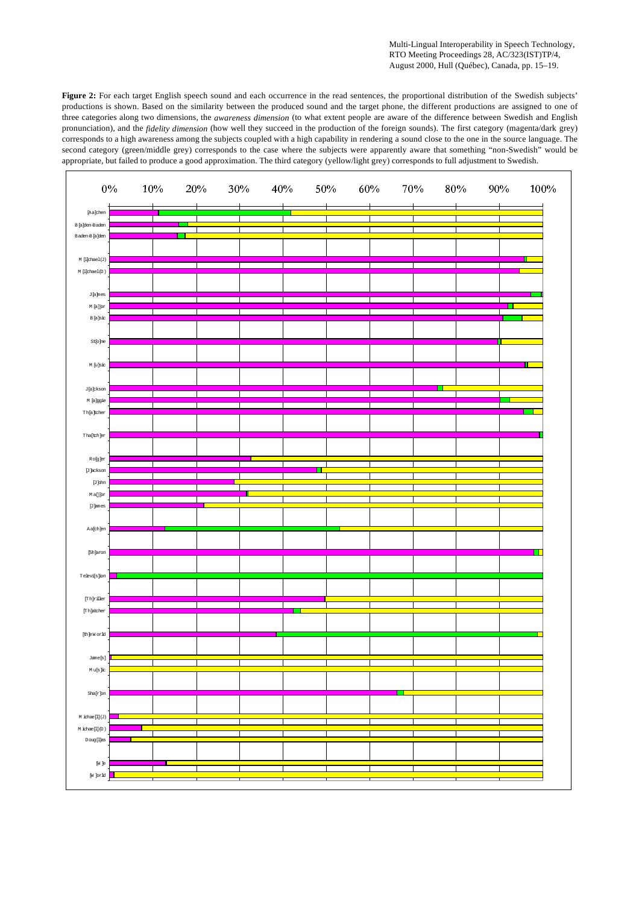Multi-Lingual Interoperability in Speech Technology, RTO Meeting Proceedings 28, AC/323(IST)TP/4, August 2000, Hull (Québec), Canada, pp. 15-19.

Figure 2: For each target English speech sound and each occurrence in the read sentences, the proportional distribution of the Swedish subjects' productions is shown. Based on the similarity between the produced sound and the target phone, the different productions are assigned to one of three categories along two dimensions, the awareness dimension (to what extent people are aware of the difference between Swedish and English pronunciation), and the fidelity dimension (how well they succeed in the production of the foreign sounds). The first category (magenta/dark grey) corresponds to a high awareness among the subjects coupled with a high capability in rendering a sound close to the one in the source language. The second category (green/middle grey) corresponds to the case where the subjects were apparently aware that something "non-Swedish" would be appropriate, but failed to produce a good approximation. The third category (yellow/light grey) corresponds to full adjustment to Swedish.

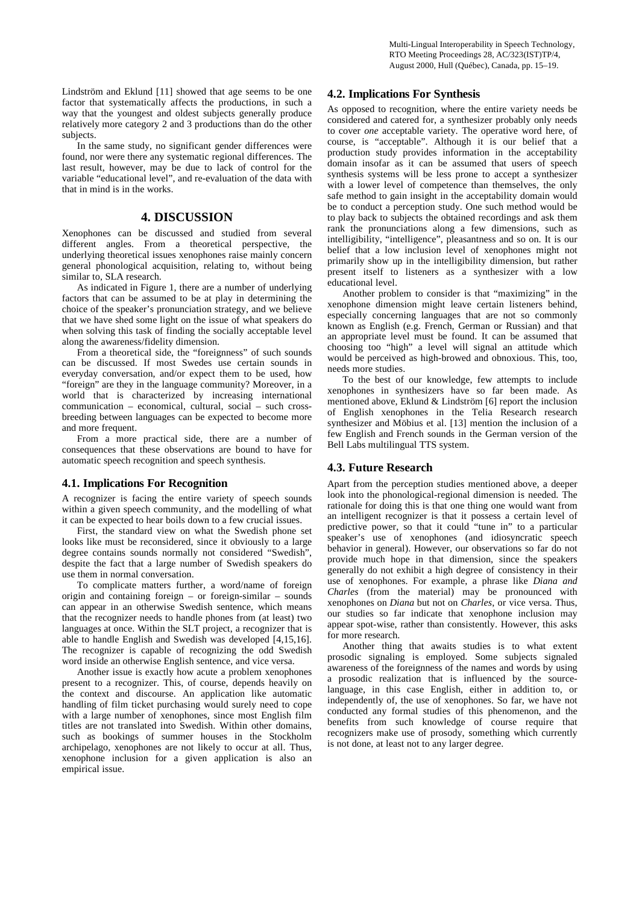Multi-Lingual Interoperability in Speech Technology, RTO Meeting Proceedings 28, AC/323(IST)TP/4, August 2000, Hull (Québec), Canada, pp. 15–19.

Lindström and Eklund [11] showed that age seems to be one factor that systematically affects the productions, in such a way that the youngest and oldest subjects generally produce relatively more category 2 and 3 productions than do the other subjects.

In the same study, no significant gender differences were found, nor were there any systematic regional differences. The last result, however, may be due to lack of control for the variable "educational level", and re-evaluation of the data with that in mind is in the works.

# **4. DISCUSSION**

Xenophones can be discussed and studied from several different angles. From a theoretical perspective, the underlying theoretical issues xenophones raise mainly concern general phonological acquisition, relating to, without being similar to, SLA research.

As indicated in Figure 1, there are a number of underlying factors that can be assumed to be at play in determining the choice of the speaker's pronunciation strategy, and we believe that we have shed some light on the issue of what speakers do when solving this task of finding the socially acceptable level along the awareness/fidelity dimension.

From a theoretical side, the "foreignness" of such sounds can be discussed. If most Swedes use certain sounds in everyday conversation, and/or expect them to be used, how "foreign" are they in the language community? Moreover, in a world that is characterized by increasing international communication – economical, cultural, social – such crossbreeding between languages can be expected to become more and more frequent.

From a more practical side, there are a number of consequences that these observations are bound to have for automatic speech recognition and speech synthesis.

#### **4.1. Implications For Recognition**

A recognizer is facing the entire variety of speech sounds within a given speech community, and the modelling of what it can be expected to hear boils down to a few crucial issues.

First, the standard view on what the Swedish phone set looks like must be reconsidered, since it obviously to a large degree contains sounds normally not considered "Swedish", despite the fact that a large number of Swedish speakers do use them in normal conversation.

To complicate matters further, a word/name of foreign origin and containing foreign – or foreign-similar – sounds can appear in an otherwise Swedish sentence, which means that the recognizer needs to handle phones from (at least) two languages at once. Within the SLT project, a recognizer that is able to handle English and Swedish was developed [4,15,16]. The recognizer is capable of recognizing the odd Swedish word inside an otherwise English sentence, and vice versa.

Another issue is exactly how acute a problem xenophones present to a recognizer. This, of course, depends heavily on the context and discourse. An application like automatic handling of film ticket purchasing would surely need to cope with a large number of xenophones, since most English film titles are not translated into Swedish. Within other domains, such as bookings of summer houses in the Stockholm archipelago, xenophones are not likely to occur at all. Thus, xenophone inclusion for a given application is also an empirical issue.

#### **4.2. Implications For Synthesis**

As opposed to recognition, where the entire variety needs be considered and catered for, a synthesizer probably only needs to cover *one* acceptable variety. The operative word here, of course, is "acceptable". Although it is our belief that a production study provides information in the acceptability domain insofar as it can be assumed that users of speech synthesis systems will be less prone to accept a synthesizer with a lower level of competence than themselves, the only safe method to gain insight in the acceptability domain would be to conduct a perception study. One such method would be to play back to subjects the obtained recordings and ask them rank the pronunciations along a few dimensions, such as intelligibility, "intelligence", pleasantness and so on. It is our belief that a low inclusion level of xenophones might not primarily show up in the intelligibility dimension, but rather present itself to listeners as a synthesizer with a low educational level.

Another problem to consider is that "maximizing" in the xenophone dimension might leave certain listeners behind, especially concerning languages that are not so commonly known as English (e.g. French, German or Russian) and that an appropriate level must be found. It can be assumed that choosing too "high" a level will signal an attitude which would be perceived as high-browed and obnoxious. This, too, needs more studies.

To the best of our knowledge, few attempts to include xenophones in synthesizers have so far been made. As mentioned above, Eklund & Lindström [6] report the inclusion of English xenophones in the Telia Research research synthesizer and Möbius et al. [13] mention the inclusion of a few English and French sounds in the German version of the Bell Labs multilingual TTS system.

#### **4.3. Future Research**

Apart from the perception studies mentioned above, a deeper look into the phonological-regional dimension is needed. The rationale for doing this is that one thing one would want from an intelligent recognizer is that it possess a certain level of predictive power, so that it could "tune in" to a particular speaker's use of xenophones (and idiosyncratic speech behavior in general). However, our observations so far do not provide much hope in that dimension, since the speakers generally do not exhibit a high degree of consistency in their use of xenophones. For example, a phrase like *Diana and Charles* (from the material) may be pronounced with xenophones on *Diana* but not on *Charles*, or vice versa. Thus, our studies so far indicate that xenophone inclusion may appear spot-wise, rather than consistently. However, this asks for more research.

Another thing that awaits studies is to what extent prosodic signaling is employed. Some subjects signaled awareness of the foreignness of the names and words by using a prosodic realization that is influenced by the sourcelanguage, in this case English, either in addition to, or independently of, the use of xenophones. So far, we have not conducted any formal studies of this phenomenon, and the benefits from such knowledge of course require that recognizers make use of prosody, something which currently is not done, at least not to any larger degree.